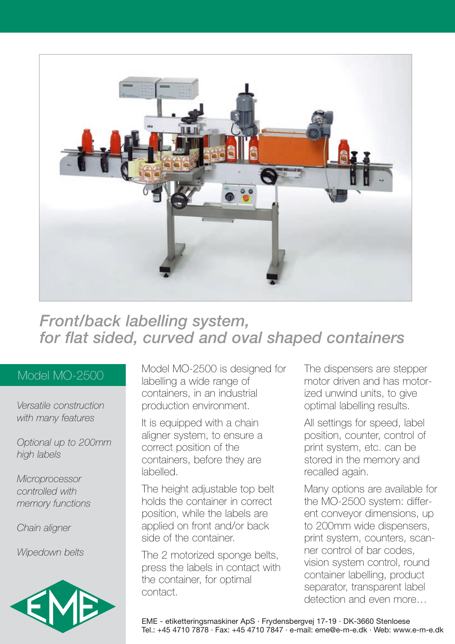

# *Front/back labelling system, for flat sided, curved and oval shaped containers*

### Model MO-2500

*Versatile construction with many features*

*Optional up to 200mm high labels*

*Microprocessor controlled with memory functions*

*Chain aligner*

*Wipedown belts*



Model MO-2500 is designed for labelling a wide range of containers, in an industrial production environment.

It is equipped with a chain aligner system, to ensure a correct position of the containers, before they are labelled.

The height adjustable top belt holds the container in correct position, while the labels are applied on front and/or back side of the container.

The 2 motorized sponge belts, press the labels in contact with the container, for optimal contact.

The dispensers are stepper motor driven and has motorized unwind units, to give optimal labelling results.

All settings for speed, label position, counter, control of print system, etc. can be stored in the memory and recalled again.

Many options are available for the MO-2500 system: different conveyor dimensions, up to 200mm wide dispensers, print system, counters, scanner control of bar codes, vision system control, round container labelling, product separator, transparent label detection and even more…